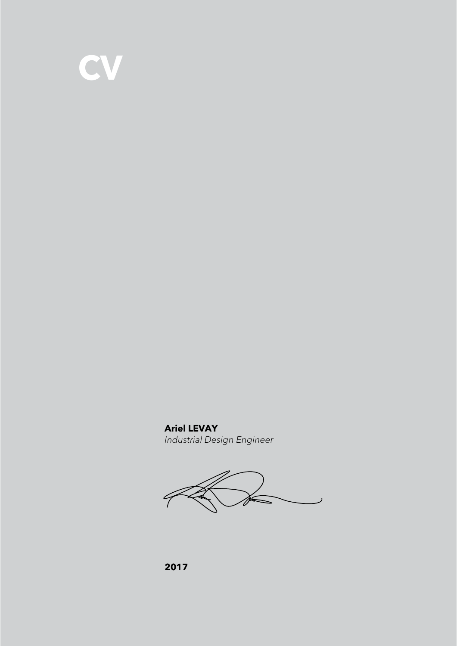

**Ariel LEVAY** *Industrial Design Engineer*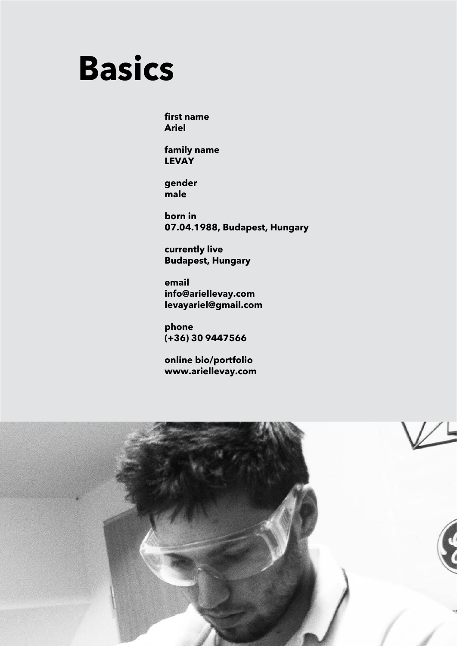

**first name Ariel**

**family name LEVAY**

**gender male**

**born in 07.04.1988, Budapest, Hungary**

**currently live Budapest, Hungary**

**email info@ariellevay.com levayariel@gmail.com**

**phone (+36) 30 9447566**

**online bio/portfolio www.ariellevay.com**

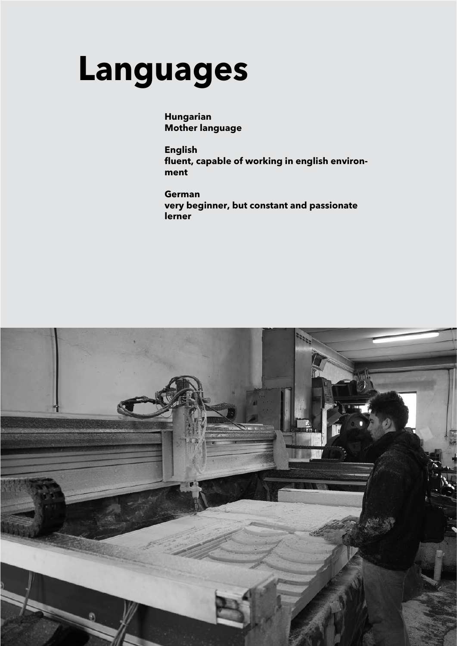# **Languages**

**Hungarian Mother language**

**English fluent, capable of working in english environment**

**German very beginner, but constant and passionate lerner**

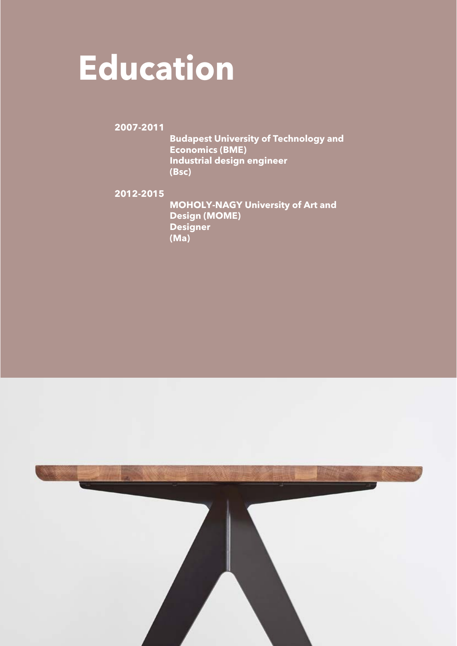# **Education**

**2007-2011**

 **Budapest University of Technology and Economics (BME) Industrial design engineer (Bsc)**

**2012-2015**

 **MOHOLY-NAGY University of Art and Design (MOME) Designer (Ma)**

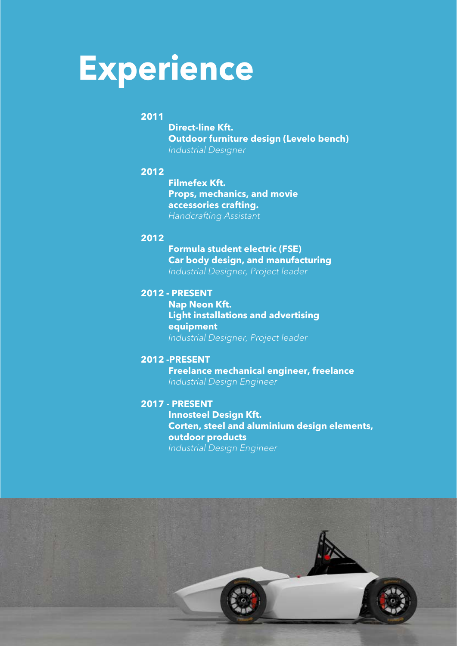# **Experience**

### **2011**

 **Direct-line Kft. Outdoor furniture design (Levelo bench)** *Industrial Designer*

#### **2012**

 **Filmefex Kft. Props, mechanics, and movie accessories crafting.** *Handcrafting Assistant*

#### **2012**

 **Formula student electric (FSE) Car body design, and manufacturing** *Industrial Designer, Project leader*

#### **2012 - PRESENT**

 **Nap Neon Kft. Light installations and advertising equipment** *Industrial Designer, Project leader*

#### **2012 -PRESENT**

 **Freelance mechanical engineer, freelance** *Industrial Design Engineer*

#### **2017 - PRESENT**

 **Innosteel Design Kft. Corten, steel and aluminium design elements, outdoor products** *Industrial Design Engineer*

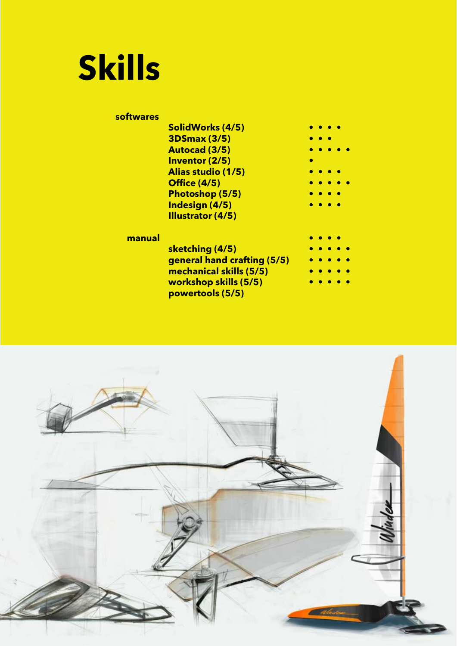

| sottwares |                                           |   |
|-----------|-------------------------------------------|---|
|           | SolidWorks (4/5)                          |   |
|           | <b>3DSmax (3/5)</b>                       |   |
|           | <b>Autocad (3/5)</b>                      |   |
|           | Inventor (2/5)                            | ● |
|           | Alias studio (1/5)                        |   |
|           | <b>Office (4/5)</b>                       |   |
|           | Photoshop (5/5)                           |   |
|           | Indesign (4/5)                            |   |
|           | Illustrator (4/5)                         |   |
| manual    |                                           |   |
|           | sketching (4/5)                           |   |
|           | general hand crafting (5/5)               |   |
|           | mechanical skills (5/5)                   |   |
|           | workshop skills (5/5)<br>powertools (5/5) |   |
|           |                                           |   |

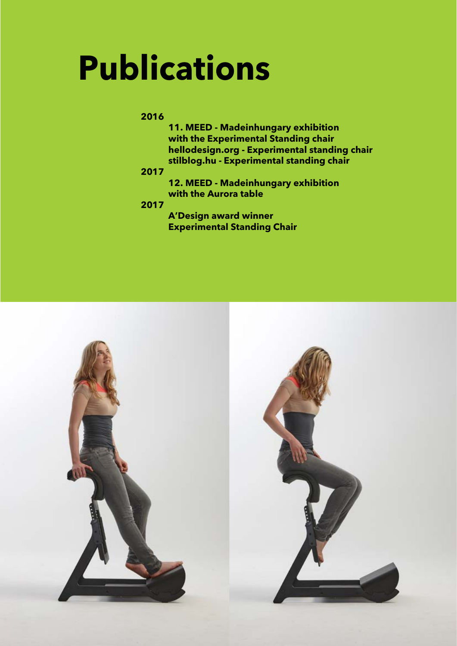# **Publications**

### **2016**

 **11. MEED - Madeinhungary exhibition with the Experimental Standing chair hellodesign.org - Experimental standing chair stilblog.hu - Experimental standing chair**

### **2017**

 **12. MEED - Madeinhungary exhibition with the Aurora table**

### **2017**

 **A'Design award winner Experimental Standing Chair**